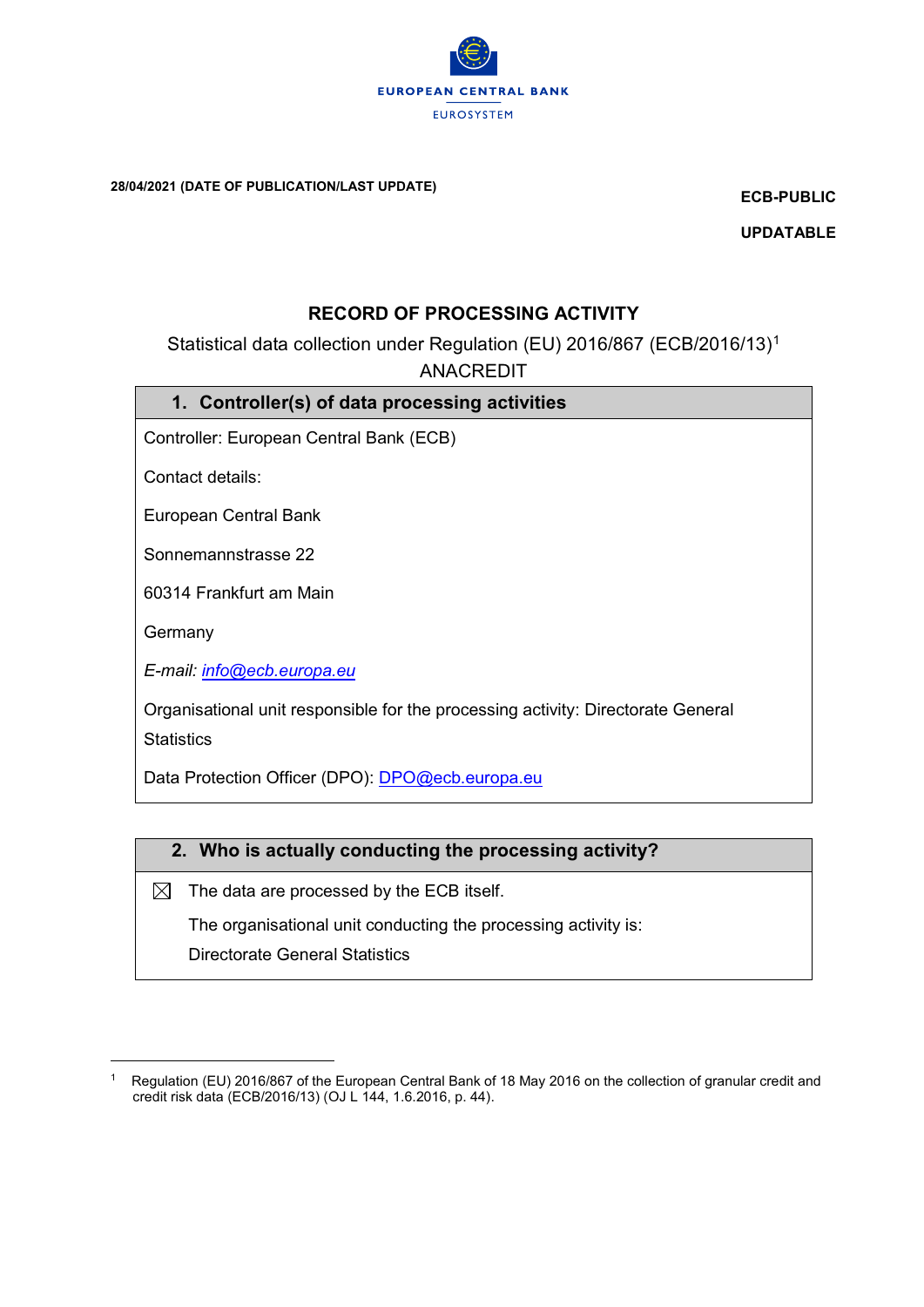

28/04/2021 (DATE OF PUBLICATION/LAST UPDATE)

ECB-PUBLIC

UPDATABLE

### RECORD OF PROCESSING ACTIVITY

Statistical data collection under Regulation (EU) 2016/867 (ECB/2016/13)<sup>1</sup> ANACREDIT

|  | 1. Controller(s) of data processing activities |  |  |  |
|--|------------------------------------------------|--|--|--|
|--|------------------------------------------------|--|--|--|

Controller: European Central Bank (ECB)

Contact details:

European Central Bank

Sonnemannstrasse 22

60314 Frankfurt am Main

**Germany** 

i<br>L

E-mail: [info@ecb.europa.eu](mailto:info@ecb.europa.eu)

Organisational unit responsible for the processing activity: Directorate General **Statistics** 

Data Protection Officer (DPO): [DPO@ecb.europa.eu](mailto:DPO@ecb.europa.eu)

### 2. Who is actually conducting the processing activity?

 $\boxtimes$  The data are processed by the ECB itself.

The organisational unit conducting the processing activity is:

Directorate General Statistics

<sup>1</sup> Regulation (EU) 2016/867 of the European Central Bank of 18 May 2016 on the collection of granular credit and credit risk data (ECB/2016/13) (OJ L 144, 1.6.2016, p. 44).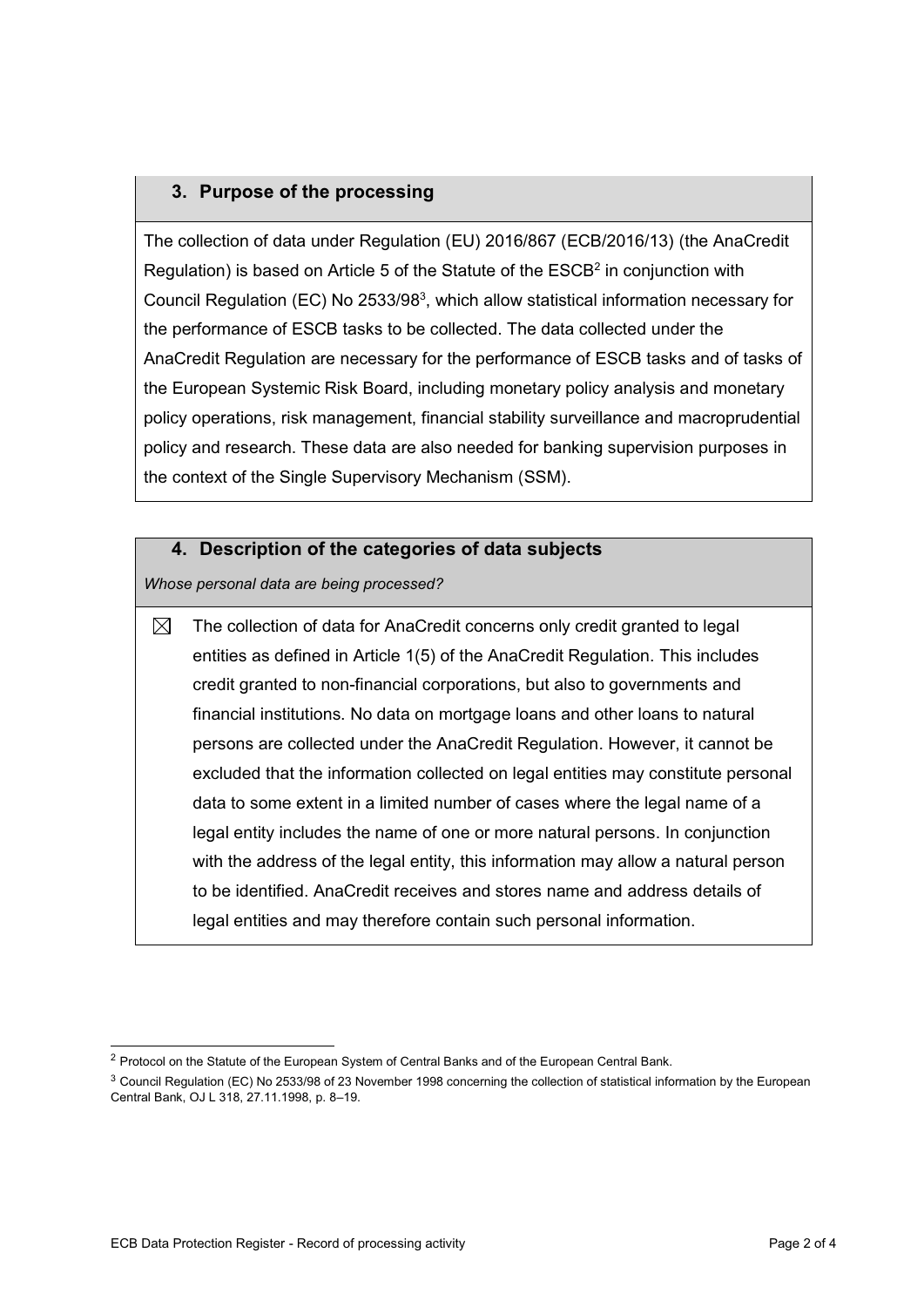## 3. Purpose of the processing

The collection of data under Regulation (EU) 2016/867 (ECB/2016/13) (the AnaCredit Regulation) is based on Article 5 of the Statute of the  $\mathsf{ESCB}^2$  in conjunction with Council Regulation (EC) No 2533/98 $3$ , which allow statistical information necessary for the performance of ESCB tasks to be collected. The data collected under the AnaCredit Regulation are necessary for the performance of ESCB tasks and of tasks of the European Systemic Risk Board, including monetary policy analysis and monetary policy operations, risk management, financial stability surveillance and macroprudential policy and research. These data are also needed for banking supervision purposes in the context of the Single Supervisory Mechanism (SSM).

### 4. Description of the categories of data subjects

Whose personal data are being processed?

 $\boxtimes$ The collection of data for AnaCredit concerns only credit granted to legal entities as defined in Article 1(5) of the AnaCredit Regulation. This includes credit granted to non-financial corporations, but also to governments and financial institutions. No data on mortgage loans and other loans to natural persons are collected under the AnaCredit Regulation. However, it cannot be excluded that the information collected on legal entities may constitute personal data to some extent in a limited number of cases where the legal name of a legal entity includes the name of one or more natural persons. In conjunction with the address of the legal entity, this information may allow a natural person to be identified. AnaCredit receives and stores name and address details of legal entities and may therefore contain such personal information.

i <sup>2</sup> Protocol on the Statute of the European System of Central Banks and of the European Central Bank.

<sup>3</sup> Council Regulation (EC) No 2533/98 of 23 November 1998 concerning the collection of statistical information by the European Central Bank, OJ L 318, 27.11.1998, p. 8–19.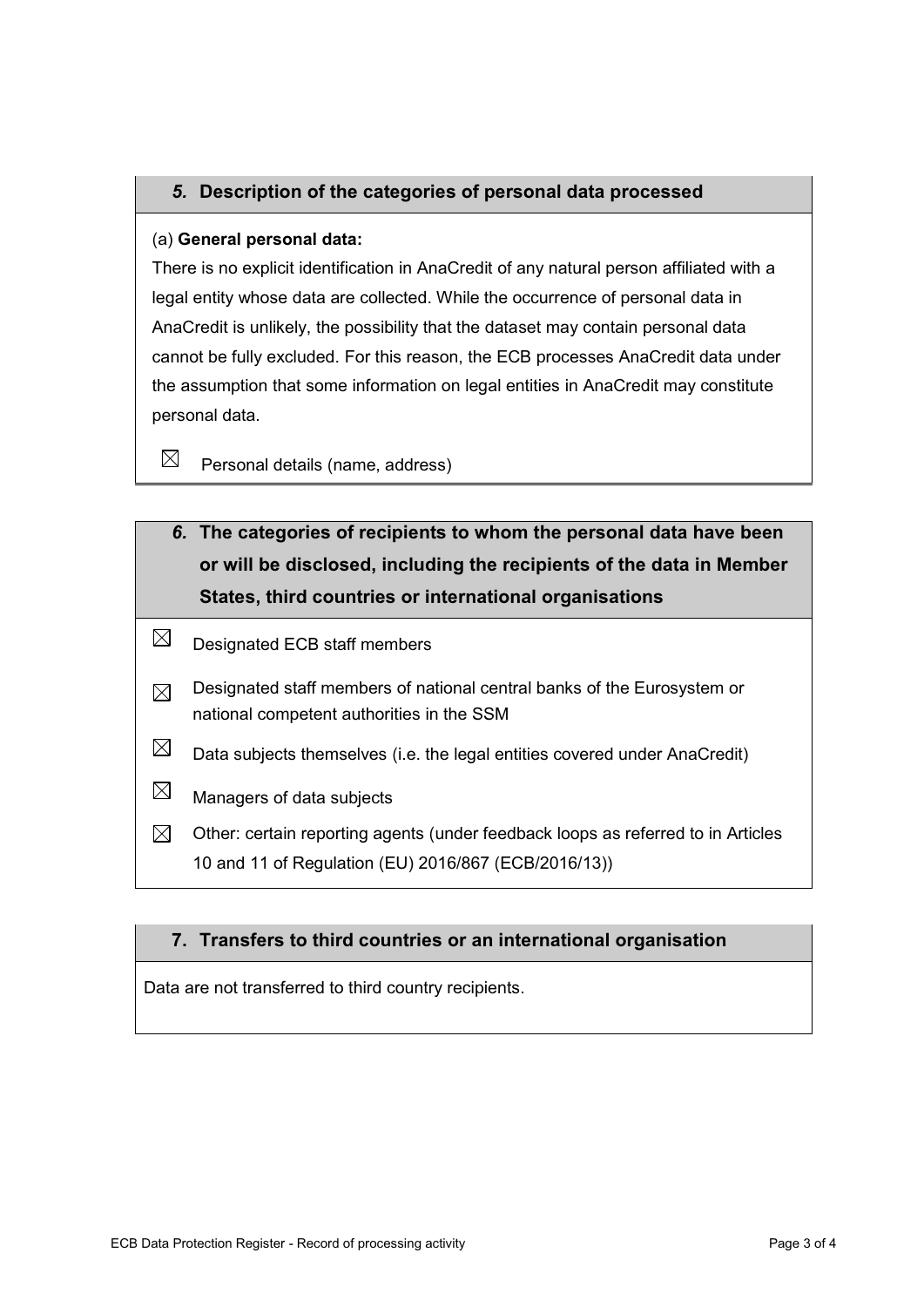## 5. Description of the categories of personal data processed

### (a) General personal data:

There is no explicit identification in AnaCredit of any natural person affiliated with a legal entity whose data are collected. While the occurrence of personal data in AnaCredit is unlikely, the possibility that the dataset may contain personal data cannot be fully excluded. For this reason, the ECB processes AnaCredit data under the assumption that some information on legal entities in AnaCredit may constitute personal data.

 $\boxtimes$ Personal details (name, address)

- 6. The categories of recipients to whom the personal data have been or will be disclosed, including the recipients of the data in Member States, third countries or international organisations
- $\boxtimes$ Designated ECB staff members
- Designated staff members of national central banks of the Eurosystem or  $\boxtimes$ national competent authorities in the SSM
- $\boxtimes$ Data subjects themselves (i.e. the legal entities covered under AnaCredit)
- $\boxtimes$ Managers of data subjects
- $\boxtimes$ Other: certain reporting agents (under feedback loops as referred to in Articles 10 and 11 of Regulation (EU) 2016/867 (ECB/2016/13))

### 7. Transfers to third countries or an international organisation

Data are not transferred to third country recipients.